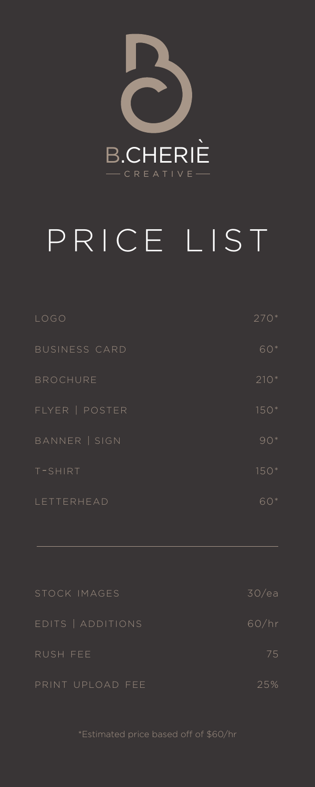

## PRICE LIST

| LOGO                 | $270*$ |
|----------------------|--------|
| <b>BUSINESS CARD</b> | 60*    |
| <b>BROCHURE</b>      | $210*$ |
| FLYER   POSTER       | $150*$ |
| BANNER   SIGN        | $90*$  |
| T-SHIRT              | $150*$ |
| LETTERHEAD           | 60*    |

| <b>STOCK IMAGES</b> | 30/ea |
|---------------------|-------|
| EDITS   ADDITIONS   | 60/hr |
| RUSH FEE            | 75    |
| PRINT UPLOAD FEE    | 25%   |

\*Estimated price based off of \$60/hr